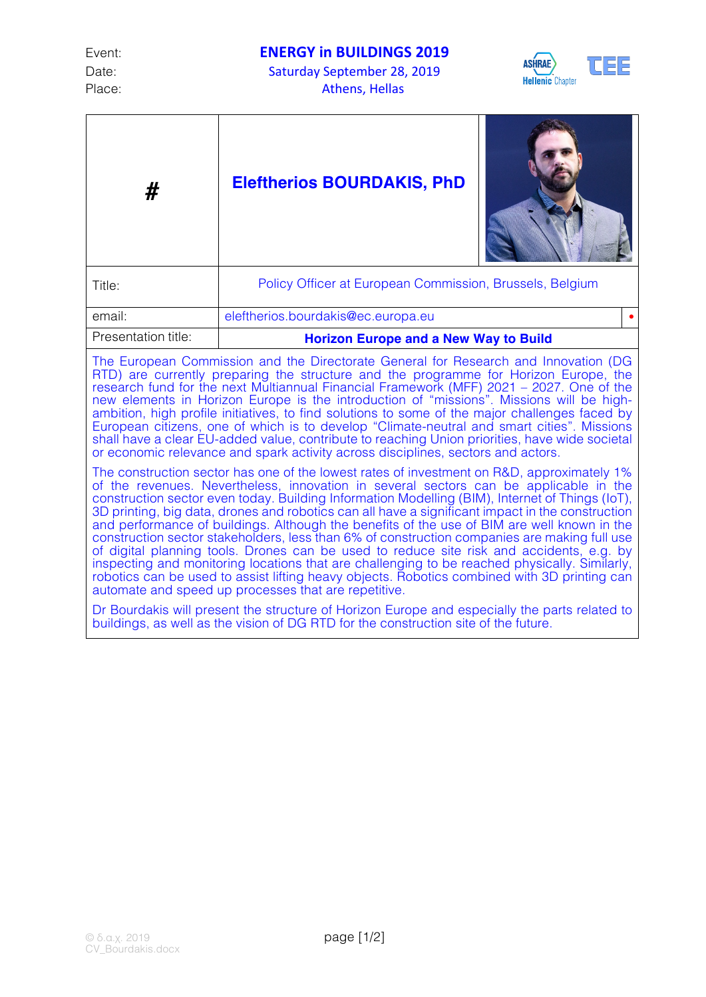Place: Athens, Hellas



| #                                                                                                                                                                                                                                                                                                                                                                                                                                                                                                                                                                                                                                                                                                                                                                                                                                                                                                                                              | <b>Eleftherios BOURDAKIS, PhD</b>                        |
|------------------------------------------------------------------------------------------------------------------------------------------------------------------------------------------------------------------------------------------------------------------------------------------------------------------------------------------------------------------------------------------------------------------------------------------------------------------------------------------------------------------------------------------------------------------------------------------------------------------------------------------------------------------------------------------------------------------------------------------------------------------------------------------------------------------------------------------------------------------------------------------------------------------------------------------------|----------------------------------------------------------|
| Title:                                                                                                                                                                                                                                                                                                                                                                                                                                                                                                                                                                                                                                                                                                                                                                                                                                                                                                                                         | Policy Officer at European Commission, Brussels, Belgium |
| email:                                                                                                                                                                                                                                                                                                                                                                                                                                                                                                                                                                                                                                                                                                                                                                                                                                                                                                                                         | eleftherios.bourdakis@ec.europa.eu                       |
| Presentation title:                                                                                                                                                                                                                                                                                                                                                                                                                                                                                                                                                                                                                                                                                                                                                                                                                                                                                                                            | <b>Horizon Europe and a New Way to Build</b>             |
| The European Commission and the Directorate General for Research and Innovation (DG<br>RTD) are currently preparing the structure and the programme for Horizon Europe, the<br>research fund for the next Multiannual Financial Framework (MFF) 2021 – 2027. One of the<br>new elements in Horizon Europe is the introduction of "missions". Missions will be high-<br>ambition, high profile initiatives, to find solutions to some of the major challenges faced by<br>European citizens, one of which is to develop "Climate-neutral and smart cities". Missions<br>shall have a clear EU-added value, contribute to reaching Union priorities, have wide societal<br>or economic relevance and spark activity across disciplines, sectors and actors.                                                                                                                                                                                      |                                                          |
| The construction sector has one of the lowest rates of investment on R&D, approximately 1%<br>of the revenues. Nevertheless, innovation in several sectors can be applicable in the<br>construction sector even today. Building Information Modelling (BIM), Internet of Things (IoT),<br>3D printing, big data, drones and robotics can all have a significant impact in the construction<br>and performance of buildings. Although the benefits of the use of BIM are well known in the<br>construction sector stakeholders, less than 6% of construction companies are making full use<br>of digital planning tools. Drones can be used to reduce site risk and accidents, e.g. by<br>inspecting and monitoring locations that are challenging to be reached physically. Similarly,<br>robotics can be used to assist lifting heavy objects. Robotics combined with 3D printing can<br>automate and speed up processes that are repetitive. |                                                          |
| Dr Bourdakis will present the structure of Horizon Europe and especially the parts related to<br>buildings, as well as the vision of DG RTD for the construction site of the future.                                                                                                                                                                                                                                                                                                                                                                                                                                                                                                                                                                                                                                                                                                                                                           |                                                          |